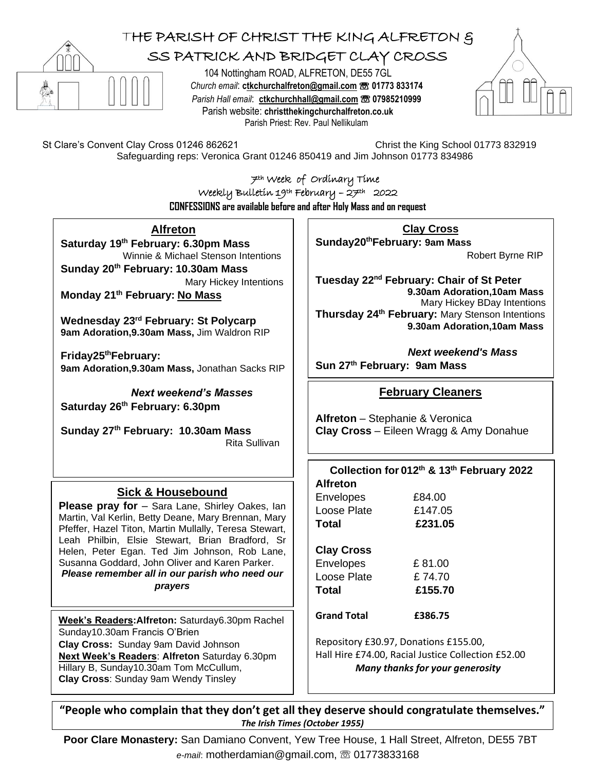

 $\overline{a}$ 

## THE PARISH OF CHRIST THE KING ALFRETON & SS PATRICK AND BRIDGET CLAY CROSS

104 Nottingham ROAD, ALFRETON, DE55 7GL *Church email*: **[ctkchurchalfreton@gmail.com](mailto:tkchurchalfreton@gmail.com%20☏%2001773%20833174)** ☏ **01773 833174** *Parish Hall email*: **[ctkchurchhall@gmail.com](mailto:ctkchurchhall@gmail.com)** ☏ **07985210999** Parish website: **christthekingchurchalfreton.co.uk** Parish Priest: Rev. Paul Nellikulam



St Clare's Convent Clay Cross 01246 862621 Christ the King School 01773 832919

Safeguarding reps: Veronica Grant 01246 850419 and Jim Johnson 01773 834986

7th Week of Ordinary Time Weekly Bulletin 19th February – 27th 2022 **CONFESSIONS are available before and after Holy Mass and on request**

**Alfreton**

**Saturday 19 th February: 6.30pm Mass** Winnie & Michael Stenson Intentions **Sunday 20th February: 10.30am Mass**  Mary Hickey Intentions

**Monday 21th February: No Mass**

**Wednesday 23rd February: St Polycarp 9am Adoration,9.30am Mass,** Jim Waldron RIP

**Friday25thFebruary: 9am Adoration,9.30am Mass,** Jonathan Sacks RIP

*Next weekend's Masses*  **Saturday 26 th February: 6.30pm** 

**Sunday 27 th February: 10.30am Mass** Rita Sullivan

## **Sick & Housebound**

**Please pray for** – Sara Lane, Shirley Oakes, Ian Martin, Val Kerlin, Betty Deane, Mary Brennan, Mary Pfeffer, Hazel Titon, Martin Mullally, Teresa Stewart, Leah Philbin, Elsie Stewart, Brian Bradford, Sr Helen, Peter Egan. Ted Jim Johnson, Rob Lane, Susanna Goddard, John Oliver and Karen Parker. *Please remember all in our parish who need our prayers*

**Week's Readers:Alfreton:** Saturday6.30pm Rachel Sunday10.30am Francis O'Brien **Clay Cross:** Sunday 9am David Johnson **Next Week's Readers**: **Alfreton** Saturday 6.30pm Hillary B, Sunday10.30am Tom McCullum, **Clay Cross**: Sunday 9am Wendy Tinsley

**Clay Cross**

**Sunday20thFebruary: 9am Mass** 

Robert Byrne RIP

**Tuesday 22nd February: Chair of St Peter 9.30am Adoration,10am Mass** Mary Hickey BDay Intentions **Thursday 24th February:** Mary Stenson Intentions **9.30am Adoration,10am Mass**

 *Next weekend's Mass* **Sun 27 th February: 9am Mass**

## **February Cleaners**

**Alfreton** – Stephanie & Veronica **Clay Cross** – Eileen Wragg & Amy Donahue

| Collection for 012th & 13th February 2022<br><b>Alfreton</b> |         |
|--------------------------------------------------------------|---------|
| Envelopes                                                    | £84.00  |
| Loose Plate                                                  | £147.05 |
| Total                                                        | £231.05 |
| <b>Clay Cross</b>                                            |         |
| <b>Envelopes</b>                                             | £81.00  |
| Loose Plate                                                  | £74.70  |
| Total                                                        | £155.70 |
| <b>Grand Total</b>                                           | £386.75 |
|                                                              |         |

Repository £30.97, Donations £155.00, Hall Hire £74.00, Racial Justice Collection £52.00 *Many thanks for your generosity*

**"People who complain that they don't get all they deserve should congratulate themselves."**  *The Irish Times (October 1955)*

 **Poor Clare Monastery:** San Damiano Convent, Yew Tree House, 1 Hall Street, Alfreton, DE55 7BT *e-mail*: motherdamian@gmail.com, ☏ 01773833168